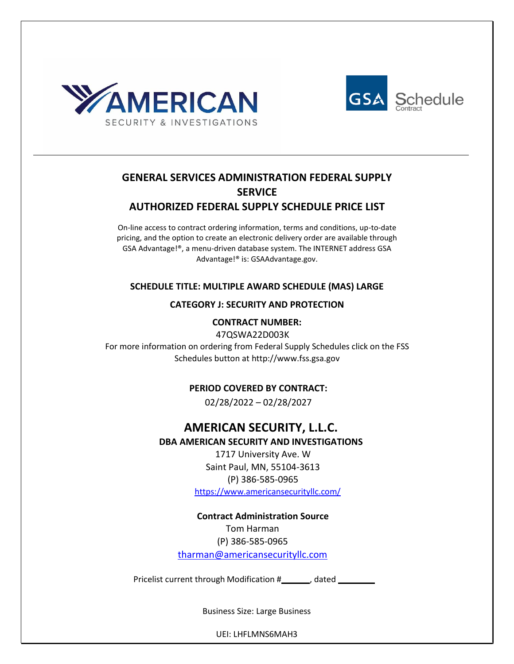



# **GENERAL SERVICES ADMINISTRATION FEDERAL SUPPLY SERVICE AUTHORIZED FEDERAL SUPPLY SCHEDULE PRICE LIST**

On-line access to contract ordering information, terms and conditions, up-to-date pricing, and the option to create an electronic delivery order are available through GSA Advantage!®, a menu-driven database system. The INTERNET address GSA Advantage!® is: GSAAdvantage.gov.

#### **SCHEDULE TITLE: MULTIPLE AWARD SCHEDULE (MAS) LARGE**

## **CATEGORY J: SECURITY AND PROTECTION**

#### **CONTRACT NUMBER:**

47QSWA22D003K For more information on ordering from Federal Supply Schedules click on the FSS Schedules button at [http://www.fss.gsa.gov](http://www.fss.gsa.gov/)

**PERIOD COVERED BY CONTRACT:**

02/28/2022 – 02/28/2027

# **AMERICAN SECURITY, L.L.C.**

**DBA AMERICAN SECURITY AND INVESTIGATIONS**

1717 University Ave. W Saint Paul, MN, 55104-3613 (P) 386-585-0965 <https://www.americansecurityllc.com/>

#### **Contract Administration Source**

Tom Harman (P) 386-585-0965 [tharman@americansecurityllc.com](mailto:tharman@americansecurityllc.com)

Pricelist current through Modification #\_\_\_\_\_\_\_, dated \_\_\_\_\_\_\_\_

Business Size: Large Business

UEI: LHFLMNS6MAH3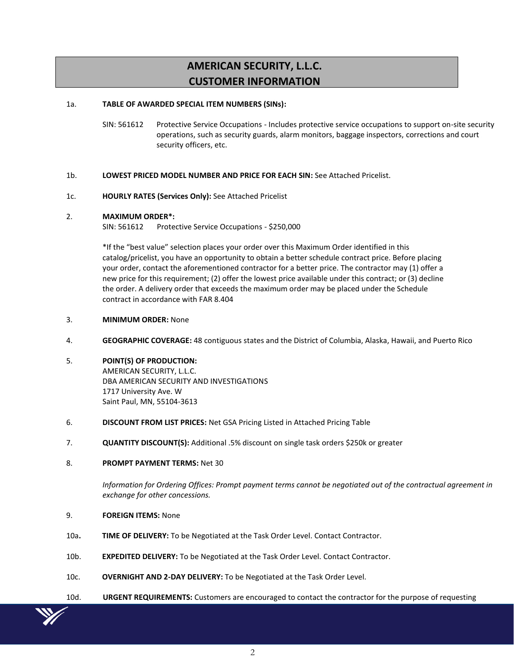# **AMERICAN SECURITY, L.L.C. CUSTOMER INFORMATION**

#### 1a. **TABLE OF AWARDED SPECIAL ITEM NUMBERS (SINs):**

SIN: 561612 Protective Service Occupations - Includes protective service occupations to support on-site security operations, such as security guards, alarm monitors, baggage inspectors, corrections and court security officers, etc.

#### 1b. **LOWEST PRICED MODEL NUMBER AND PRICE FOR EACH SIN:** See Attached Pricelist.

#### 1c. **HOURLY RATES (Services Only):** See Attached Pricelist

#### 2. **MAXIMUM ORDER\*:**

SIN: 561612 Protective Service Occupations - \$250,000

\*If the "best value" selection places your order over this Maximum Order identified in this catalog/pricelist, you have an opportunity to obtain a better schedule contract price. Before placing your order, contact the aforementioned contractor for a better price. The contractor may (1) offer a new price for this requirement; (2) offer the lowest price available under this contract; or (3) decline the order. A delivery order that exceeds the maximum order may be placed under the Schedule contract in accordance with FAR 8.404

#### 3. **MINIMUM ORDER:** None

4. **GEOGRAPHIC COVERAGE:** 48 contiguous states and the District of Columbia, Alaska, Hawaii, and Puerto Rico

#### 5. **POINT(S) OF PRODUCTION:**

AMERICAN SECURITY, L.L.C. DBA AMERICAN SECURITY AND INVESTIGATIONS 1717 University Ave. W Saint Paul, MN, 55104-3613

- 6. **DISCOUNT FROM LIST PRICES:** Net GSA Pricing Listed in Attached Pricing Table
- 7. **QUANTITY DISCOUNT(S):** Additional .5% discount on single task orders \$250k or greater

#### 8. **PROMPT PAYMENT TERMS:** Net 30

*Information for Ordering Offices: Prompt payment terms cannot be negotiated out of the contractual agreement in exchange for other concessions.* 

#### 9. **FOREIGN ITEMS:** None

- 10a**. TIME OF DELIVERY:** To be Negotiated at the Task Order Level. Contact Contractor.
- 10b. **EXPEDITED DELIVERY:** To be Negotiated at the Task Order Level. Contact Contractor.
- 10c. **OVERNIGHT AND 2-DAY DELIVERY:** To be Negotiated at the Task Order Level.
- 10d. **URGENT REQUIREMENTS:** Customers are encouraged to contact the contractor for the purpose of requesting

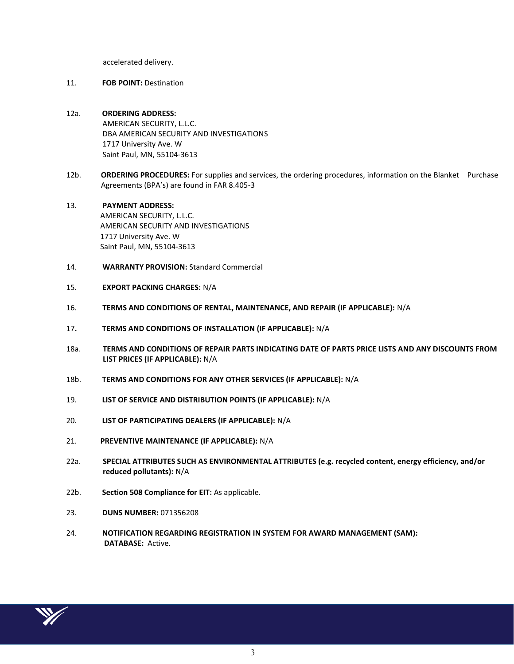accelerated delivery.

- 11. **FOB POINT:** Destination
- 12a. **ORDERING ADDRESS:** AMERICAN SECURITY, L.L.C. DBA AMERICAN SECURITY AND INVESTIGATIONS 1717 University Ave. W Saint Paul, MN, 55104-3613
- 12b. **ORDERING PROCEDURES:** For supplies and services, the ordering procedures, information on the Blanket Purchase Agreements (BPA's) are found in FAR 8.405-3
- 13. **PAYMENT ADDRESS:** AMERICAN SECURITY, L.L.C. AMERICAN SECURITY AND INVESTIGATIONS 1717 University Ave. W Saint Paul, MN, 55104-3613
- 14. **WARRANTY PROVISION:** Standard Commercial
- 15. **EXPORT PACKING CHARGES:** N/A
- 16. **TERMS AND CONDITIONS OF RENTAL, MAINTENANCE, AND REPAIR (IF APPLICABLE):** N/A
- 17**. TERMS AND CONDITIONS OF INSTALLATION (IF APPLICABLE):** N/A
- 18a. **TERMS AND CONDITIONS OF REPAIR PARTS INDICATING DATE OF PARTS PRICE LISTS AND ANY DISCOUNTS FROM LIST PRICES (IF APPLICABLE):** N/A
- 18b. **TERMS AND CONDITIONS FOR ANY OTHER SERVICES (IF APPLICABLE):** N/A
- 19. **LIST OF SERVICE AND DISTRIBUTION POINTS (IF APPLICABLE):** N/A
- 20. **LIST OF PARTICIPATING DEALERS (IF APPLICABLE):** N/A
- 21. **PREVENTIVE MAINTENANCE (IF APPLICABLE):** N/A
- 22a. **SPECIAL ATTRIBUTES SUCH AS ENVIRONMENTAL ATTRIBUTES (e.g. recycled content, energy efficiency, and/or reduced pollutants):** N/A
- 22b. **Section 508 Compliance for EIT:** As applicable.
- 23. **DUNS NUMBER:** 071356208
- 24. **NOTIFICATION REGARDING REGISTRATION IN SYSTEM FOR AWARD MANAGEMENT (SAM): DATABASE:** Active.

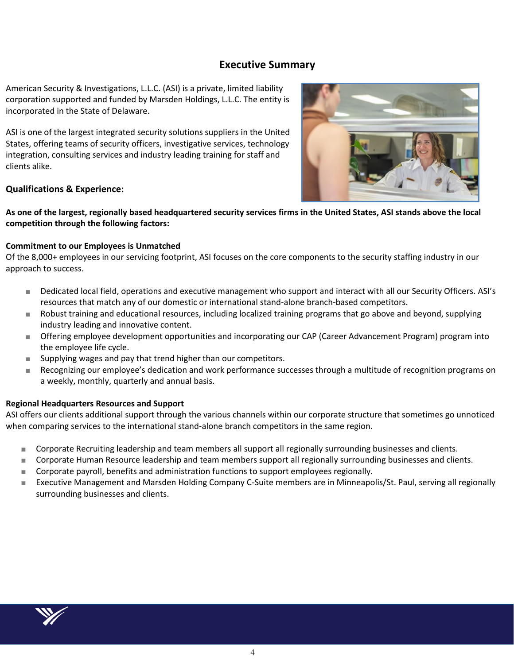# **Executive Summary**

American Security & Investigations, L.L.C. (ASI) is a private, limited liability corporation supported and funded by Marsden Holdings, L.L.C. The entity is incorporated in the State of Delaware.

ASI is one of the largest integrated security solutions suppliers in the United States, offering teams of security officers, investigative services, technology integration, consulting services and industry leading training for staff and clients alike.

## **Qualifications & Experience:**



#### **As one of the largest, regionally based headquartered security services firms in the United States, ASI stands above the local competition through the following factors:**

#### **Commitment to our Employees is Unmatched**

Of the 8,000+ employees in our servicing footprint, ASI focuses on the core components to the security staffing industry in our approach to success.

- Dedicated local field, operations and executive management who support and interact with all our Security Officers. ASI's resources that match any of our domestic or international stand-alone branch-based competitors.
- Robust training and educational resources, including localized training programs that go above and beyond, supplying industry leading and innovative content.
- Offering employee development opportunities and incorporating our CAP (Career Advancement Program) program into the employee life cycle.
- Supplying wages and pay that trend higher than our competitors.
- Recognizing our employee's dedication and work performance successes through a multitude of recognition programs on a weekly, monthly, quarterly and annual basis.

#### **Regional Headquarters Resources and Support**

ASI offers our clients additional support through the various channels within our corporate structure that sometimes go unnoticed when comparing services to the international stand-alone branch competitors in the same region.

- Corporate Recruiting leadership and team members all support all regionally surrounding businesses and clients.
- Corporate Human Resource leadership and team members support all regionally surrounding businesses and clients.
- Corporate payroll, benefits and administration functions to support employees regionally.
- Executive Management and Marsden Holding Company C-Suite members are in Minneapolis/St. Paul, serving all regionally surrounding businesses and clients.

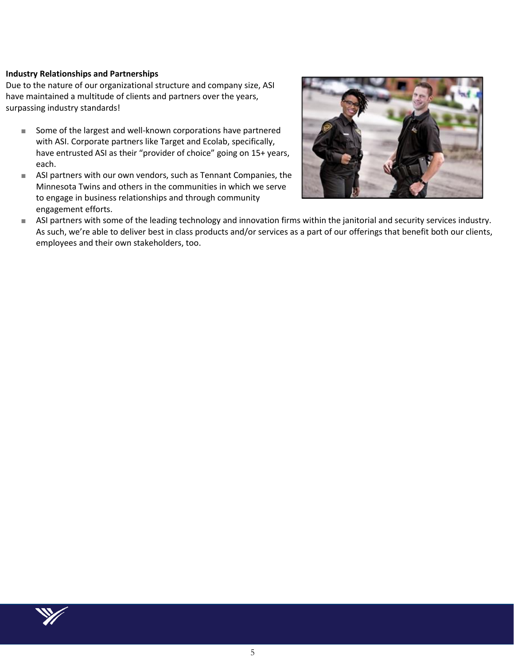#### **Industry Relationships and Partnerships**

Due to the nature of our organizational structure and company size, ASI have maintained a multitude of clients and partners over the years, surpassing industry standards!

- Some of the largest and well-known corporations have partnered with ASI. Corporate partners like Target and Ecolab, specifically, have entrusted ASI as their "provider of choice" going on 15+ years, each.
- ASI partners with our own vendors, such as Tennant Companies, the Minnesota Twins and others in the communities in which we serve to engage in business relationships and through community engagement efforts.



■ ASI partners with some of the leading technology and innovation firms within the janitorial and security services industry. As such, we're able to deliver best in class products and/or services as a part of our offerings that benefit both our clients, employees and their own stakeholders, too.

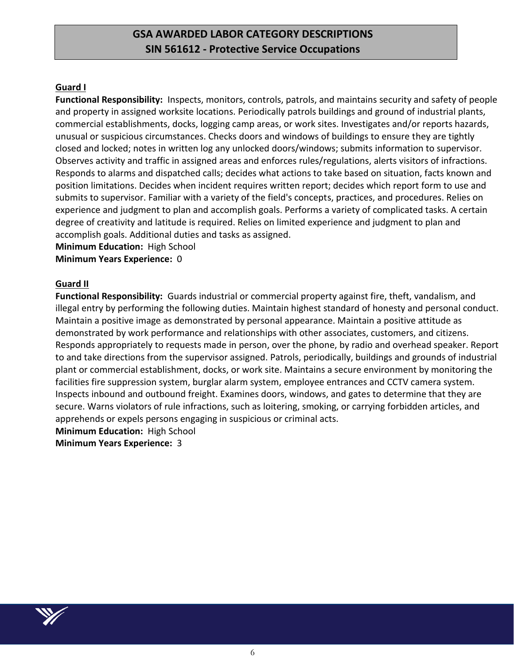# **GSA AWARDED LABOR CATEGORY DESCRIPTIONS SIN 561612 - Protective Service Occupations**

# **Guard I**

**Functional Responsibility:** Inspects, monitors, controls, patrols, and maintains security and safety of people and property in assigned worksite locations. Periodically patrols buildings and ground of industrial plants, commercial establishments, docks, logging camp areas, or work sites. Investigates and/or reports hazards, unusual or suspicious circumstances. Checks doors and windows of buildings to ensure they are tightly closed and locked; notes in written log any unlocked doors/windows; submits information to supervisor. Observes activity and traffic in assigned areas and enforces rules/regulations, alerts visitors of infractions. Responds to alarms and dispatched calls; decides what actions to take based on situation, facts known and position limitations. Decides when incident requires written report; decides which report form to use and submits to supervisor. Familiar with a variety of the field's concepts, practices, and procedures. Relies on experience and judgment to plan and accomplish goals. Performs a variety of complicated tasks. A certain degree of creativity and latitude is required. Relies on limited experience and judgment to plan and accomplish goals. Additional duties and tasks as assigned.

**Minimum Education:** High School

**Minimum Years Experience:** 0

# **Guard II**

**Functional Responsibility:** Guards industrial or commercial property against fire, theft, vandalism, and illegal entry by performing the following duties. Maintain highest standard of honesty and personal conduct. Maintain a positive image as demonstrated by personal appearance. Maintain a positive attitude as demonstrated by work performance and relationships with other associates, customers, and citizens. Responds appropriately to requests made in person, over the phone, by radio and overhead speaker. Report to and take directions from the supervisor assigned. Patrols, periodically, buildings and grounds of industrial plant or commercial establishment, docks, or work site. Maintains a secure environment by monitoring the facilities fire suppression system, burglar alarm system, employee entrances and CCTV camera system. Inspects inbound and outbound freight. Examines doors, windows, and gates to determine that they are secure. Warns violators of rule infractions, such as loitering, smoking, or carrying forbidden articles, and apprehends or expels persons engaging in suspicious or criminal acts.

**Minimum Education:** High School **Minimum Years Experience:** 3

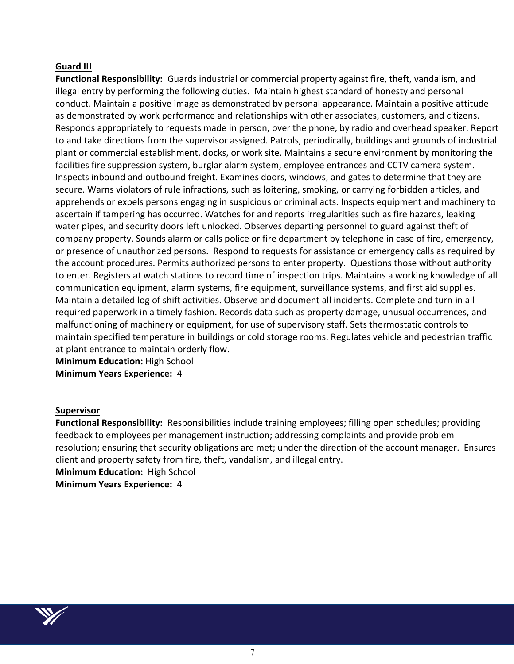## **Guard III**

**Functional Responsibility:** Guards industrial or commercial property against fire, theft, vandalism, and illegal entry by performing the following duties. Maintain highest standard of honesty and personal conduct. Maintain a positive image as demonstrated by personal appearance. Maintain a positive attitude as demonstrated by work performance and relationships with other associates, customers, and citizens. Responds appropriately to requests made in person, over the phone, by radio and overhead speaker. Report to and take directions from the supervisor assigned. Patrols, periodically, buildings and grounds of industrial plant or commercial establishment, docks, or work site. Maintains a secure environment by monitoring the facilities fire suppression system, burglar alarm system, employee entrances and CCTV camera system. Inspects inbound and outbound freight. Examines doors, windows, and gates to determine that they are secure. Warns violators of rule infractions, such as loitering, smoking, or carrying forbidden articles, and apprehends or expels persons engaging in suspicious or criminal acts. Inspects equipment and machinery to ascertain if tampering has occurred. Watches for and reports irregularities such as fire hazards, leaking water pipes, and security doors left unlocked. Observes departing personnel to guard against theft of company property. Sounds alarm or calls police or fire department by telephone in case of fire, emergency, or presence of unauthorized persons. Respond to requests for assistance or emergency calls as required by the account procedures. Permits authorized persons to enter property. Questions those without authority to enter. Registers at watch stations to record time of inspection trips. Maintains a working knowledge of all communication equipment, alarm systems, fire equipment, surveillance systems, and first aid supplies. Maintain a detailed log of shift activities. Observe and document all incidents. Complete and turn in all required paperwork in a timely fashion. Records data such as property damage, unusual occurrences, and malfunctioning of machinery or equipment, for use of supervisory staff. Sets thermostatic controls to maintain specified temperature in buildings or cold storage rooms. Regulates vehicle and pedestrian traffic at plant entrance to maintain orderly flow.

**Minimum Education:** High School **Minimum Years Experience:** 4

## **Supervisor**

**Functional Responsibility:** Responsibilities include training employees; filling open schedules; providing feedback to employees per management instruction; addressing complaints and provide problem resolution; ensuring that security obligations are met; under the direction of the account manager. Ensures client and property safety from fire, theft, vandalism, and illegal entry.

**Minimum Education:** High School **Minimum Years Experience:** 4

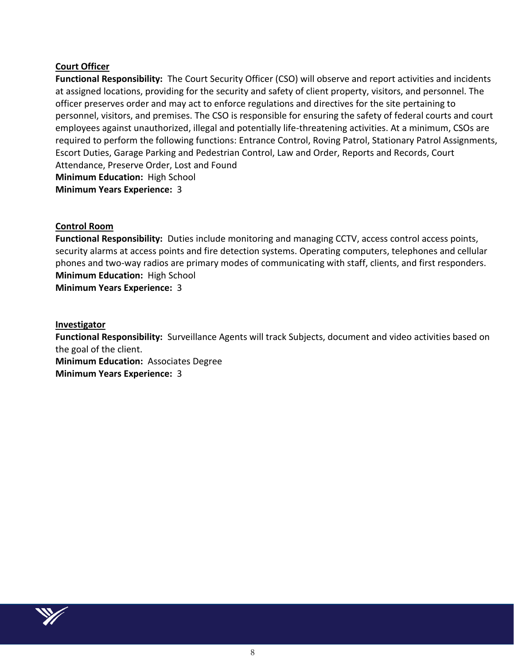# **Court Officer**

**Functional Responsibility:** The Court Security Officer (CSO) will observe and report activities and incidents at assigned locations, providing for the security and safety of client property, visitors, and personnel. The officer preserves order and may act to enforce regulations and directives for the site pertaining to personnel, visitors, and premises. The CSO is responsible for ensuring the safety of federal courts and court employees against unauthorized, illegal and potentially life-threatening activities. At a minimum, CSOs are required to perform the following functions: Entrance Control, Roving Patrol, Stationary Patrol Assignments, Escort Duties, Garage Parking and Pedestrian Control, Law and Order, Reports and Records, Court Attendance, Preserve Order, Lost and Found **Minimum Education:** High School **Minimum Years Experience:** 3

# **Control Room**

**Functional Responsibility:** Duties include monitoring and managing CCTV, access control access points, security alarms at access points and fire detection systems. Operating computers, telephones and cellular phones and two-way radios are primary modes of communicating with staff, clients, and first responders. **Minimum Education:** High School

**Minimum Years Experience:** 3

#### **Investigator**

**Functional Responsibility:** Surveillance Agents will track Subjects, document and video activities based on the goal of the client.

**Minimum Education:** Associates Degree **Minimum Years Experience:** 3

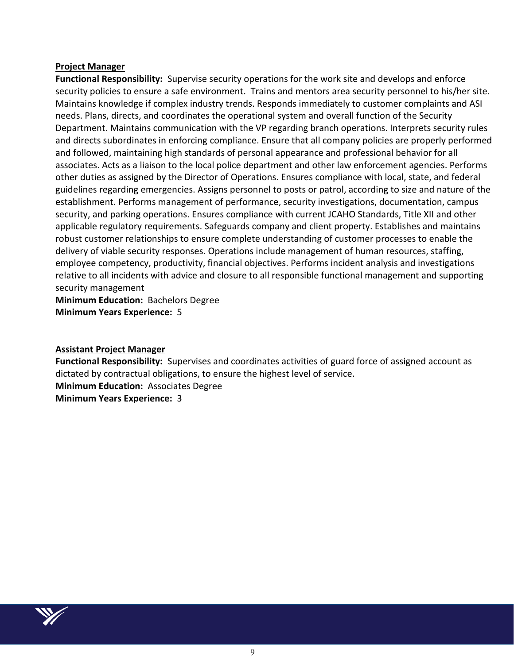#### **Project Manager**

**Functional Responsibility:** Supervise security operations for the work site and develops and enforce security policies to ensure a safe environment. Trains and mentors area security personnel to his/her site. Maintains knowledge if complex industry trends. Responds immediately to customer complaints and ASI needs. Plans, directs, and coordinates the operational system and overall function of the Security Department. Maintains communication with the VP regarding branch operations. Interprets security rules and directs subordinates in enforcing compliance. Ensure that all company policies are properly performed and followed, maintaining high standards of personal appearance and professional behavior for all associates. Acts as a liaison to the local police department and other law enforcement agencies. Performs other duties as assigned by the Director of Operations. Ensures compliance with local, state, and federal guidelines regarding emergencies. Assigns personnel to posts or patrol, according to size and nature of the establishment. Performs management of performance, security investigations, documentation, campus security, and parking operations. Ensures compliance with current JCAHO Standards, Title XII and other applicable regulatory requirements. Safeguards company and client property. Establishes and maintains robust customer relationships to ensure complete understanding of customer processes to enable the delivery of viable security responses. Operations include management of human resources, staffing, employee competency, productivity, financial objectives. Performs incident analysis and investigations relative to all incidents with advice and closure to all responsible functional management and supporting security management

**Minimum Education:** Bachelors Degree **Minimum Years Experience:** 5

## **Assistant Project Manager**

**Functional Responsibility:** Supervises and coordinates activities of guard force of assigned account as dictated by contractual obligations, to ensure the highest level of service. **Minimum Education:** Associates Degree **Minimum Years Experience:** 3